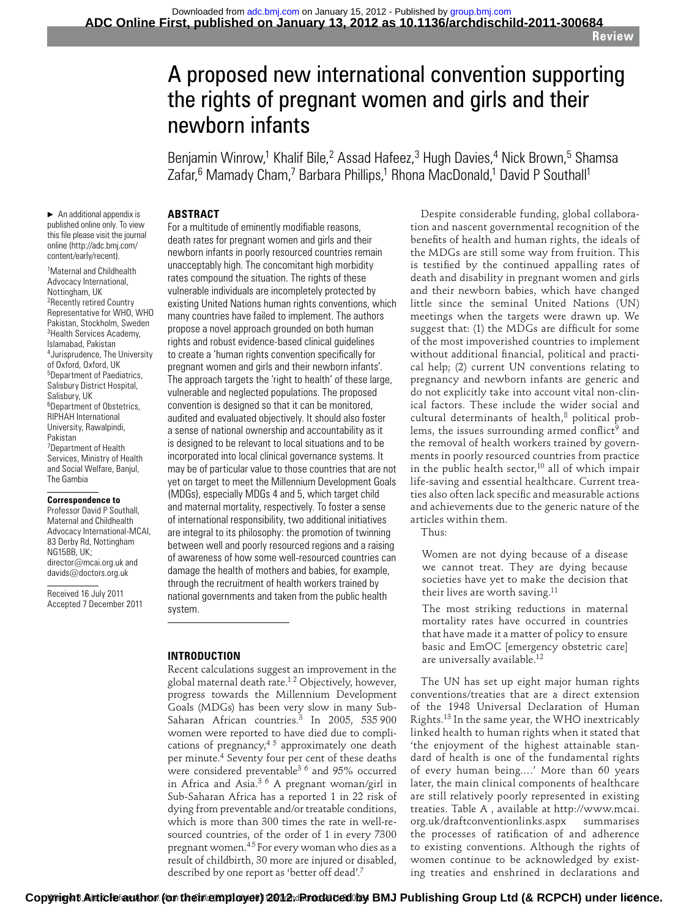**Review**

# A proposed new international convention supporting the rights of pregnant women and girls and their newborn infants

Benjamin Winrow,<sup>1</sup> Khalif Bile,<sup>2</sup> Assad Hafeez,<sup>3</sup> Hugh Davies,<sup>4</sup> Nick Brown,<sup>5</sup> Shamsa Zafar,<sup>6</sup> Mamady Cham,<sup>7</sup> Barbara Phillips,<sup>1</sup> Rhona MacDonald,<sup>1</sup> David P Southall<sup>1</sup>

### **ABSTRACT**

 $\blacktriangleright$  An additional appendix is published online only. To view this file please visit the journal online (http://adc.bmj.com/ content/early/recent).

1 Maternal and Childhealth Advocacy International, Nottingham, UK 2Recently retired Country Representative for WHO, WHO Pakistan, Stockholm, Sweden 3Health Services Academy, Islamabad, Pakistan 4Jurisprudence, The University of Oxford, Oxford, UK 5Department of Paediatrics, Salisbury District Hospital, Salisbury, UK 6Department of Obstetrics, RIPHAH International University, Rawalpindi, Pakistan 7Department of Health Services, Ministry of Health and Social Welfare, Banjul, The Gambia

#### **Correspondence to**

Professor David P Southall, Maternal and Childhealth Advocacy International-MCAI, 83 Derby Rd, Nottingham NG15BB, UK; director@mcai.org.uk and davids@doctors.org.uk

Received 16 July 2011 Accepted 7 December 2011 For a multitude of eminently modifiable reasons, death rates for pregnant women and girls and their newborn infants in poorly resourced countries remain unacceptably high. The concomitant high morbidity rates compound the situation. The rights of these vulnerable individuals are incompletely protected by existing United Nations human rights conventions, which many countries have failed to implement. The authors propose a novel approach grounded on both human rights and robust evidence-based clinical guidelines to create a 'human rights convention specifically for pregnant women and girls and their newborn infants'. The approach targets the 'right to health' of these large, vulnerable and neglected populations. The proposed convention is designed so that it can be monitored, audited and evaluated objectively. It should also foster a sense of national ownership and accountability as it is designed to be relevant to local situations and to be incorporated into local clinical governance systems. It may be of particular value to those countries that are not yet on target to meet the Millennium Development Goals (MDGs), especially MDGs 4 and 5, which target child and maternal mortality, respectively. To foster a sense of international responsibility, two additional initiatives are integral to its philosophy: the promotion of twinning between well and poorly resourced regions and a raising of awareness of how some well-resourced countries can damage the health of mothers and babies, for example, through the recruitment of health workers trained by national governments and taken from the public health system.

#### **INTRODUCTION**

Recent calculations suggest an improvement in the global maternal death rate.<sup>12</sup> Objectively, however, progress towards the Millennium Development Goals (MDGs) has been very slow in many Sub-Saharan African countries.<sup>3</sup> In 2005, 535 900 women were reported to have died due to complications of pregnancy,4 5 approximately one death per minute.4 Seventy four per cent of these deaths were considered preventable3 6 and 95% occurred in Africa and Asia.3 6 A pregnant woman/girl in Sub-Saharan Africa has a reported 1 in 22 risk of dying from preventable and/or treatable conditions, which is more than 300 times the rate in well-resourced countries, of the order of 1 in every 7300 pregnant women.4 5 For every woman who dies as a result of childbirth, 30 more are injured or disabled, described by one report as 'better off dead'.<sup>7</sup>

Despite considerable funding, global collaboration and nascent governmental recognition of the benefits of health and human rights, the ideals of the MDGs are still some way from fruition. This is testified by the continued appalling rates of death and disability in pregnant women and girls and their newborn babies, which have changed little since the seminal United Nations (UN) meetings when the targets were drawn up. We suggest that: (1) the MDGs are difficult for some of the most impoverished countries to implement without additional financial, political and practical help; (2) current UN conventions relating to pregnancy and newborn infants are generic and do not explicitly take into account vital non-clinical factors. These include the wider social and cultural determinants of health, $8$  political problems, the issues surrounding armed conflict<sup>9</sup> and the removal of health workers trained by governments in poorly resourced countries from practice in the public health sector, $10$  all of which impair life-saving and essential healthcare. Current treaties also often lack specific and measurable actions and achievements due to the generic nature of the articles within them.

Thus:

Women are not dying because of a disease we cannot treat. They are dying because societies have yet to make the decision that their lives are worth saving.<sup>11</sup>

The most striking reductions in maternal mortality rates have occurred in countries that have made it a matter of policy to ensure basic and EmOC [emergency obstetric care] are universally available.12

The UN has set up eight major human rights conventions/treaties that are a direct extension of the 1948 Universal Declaration of Human Rights.13 In the same year, the WHO inextricably linked health to human rights when it stated that 'the enjoyment of the highest attainable standard of health is one of the fundamental rights of every human being.…' More than 60 years later, the main clinical components of healthcare are still relatively poorly represented in existing treaties. Table A , available at http://www.mcai. org.uk/draftconventionlinks.aspx summarises the processes of ratification of and adherence to existing conventions. Although the rights of women continue to be acknowledged by existing treaties and enshrined in declarations and

Copymight Anticleíauthor (or their/employer) 2012։ Rroduced եր BMJ Publishing Group Ltd (& RCPCH) under licence.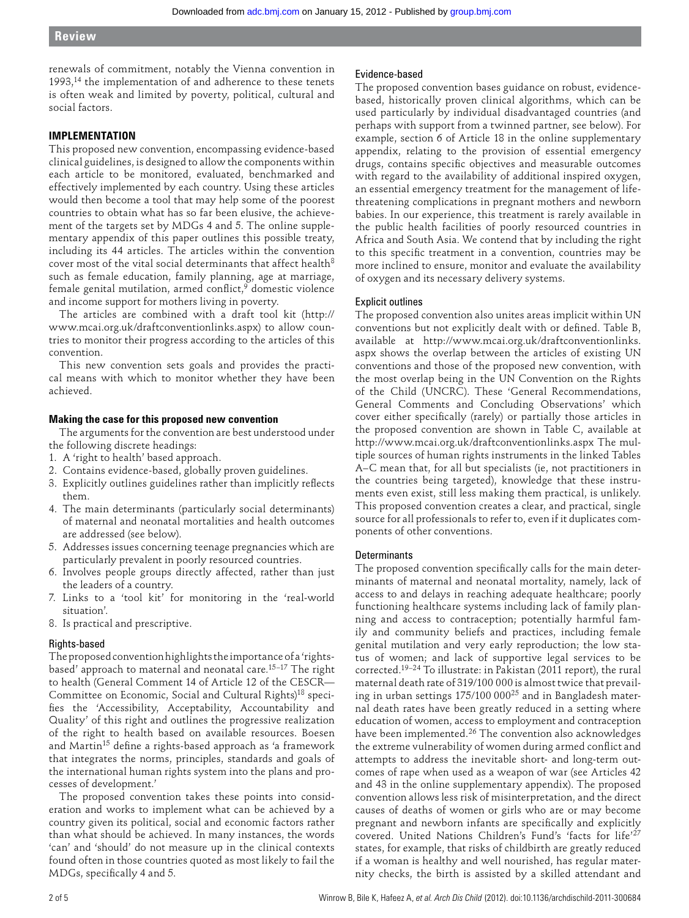renewals of commitment, notably the Vienna convention in  $1993$ ,<sup>14</sup> the implementation of and adherence to these tenets is often weak and limited by poverty, political, cultural and social factors.

# **IMPLEMENTATION**

This proposed new convention, encompassing evidence-based clinical guidelines, is designed to allow the components within each article to be monitored, evaluated, benchmarked and effectively implemented by each country. Using these articles would then become a tool that may help some of the poorest countries to obtain what has so far been elusive, the achievement of the targets set by MDGs 4 and 5. The online supplementary appendix of this paper outlines this possible treaty, including its 44 articles. The articles within the convention cover most of the vital social determinants that affect health<sup>8</sup> such as female education, family planning, age at marriage, female genital mutilation, armed conflict, $9$  domestic violence and income support for mothers living in poverty.

The articles are combined with a draft tool kit (http:// www.mcai.org.uk/draftconventionlinks.aspx) to allow countries to monitor their progress according to the articles of this convention.

This new convention sets goals and provides the practical means with which to monitor whether they have been achieved.

#### **Making the case for this proposed new convention**

The arguments for the convention are best understood under the following discrete headings:

- 1. A 'right to health' based approach.
- 2. Contains evidence-based, globally proven guidelines.
- 3. Explicitly outlines guidelines rather than implicitly reflects them.
- 4. The main determinants (particularly social determinants) of maternal and neonatal mortalities and health outcomes are addressed (see below).
- 5. Addresses issues concerning teenage pregnancies which are particularly prevalent in poorly resourced countries.
- 6. Involves people groups directly affected, rather than just the leaders of a country.
- 7. Links to a 'tool kit' for monitoring in the 'real-world situation'.
- 8. Is practical and prescriptive.

# Rights-based

The proposed convention highlights the importance of a 'rightsbased' approach to maternal and neonatal care*.* 15–17 The right to health (General Comment 14 of Article 12 of the CESCR— Committee on Economic, Social and Cultural Rights)18 specifies the 'Accessibility, Acceptability, Accountability and Quality' of this right and outlines the progressive realization of the right to health based on available resources. Boesen and Martin<sup>15</sup> define a rights-based approach as 'a framework that integrates the norms, principles, standards and goals of the international human rights system into the plans and processes of development.'

The proposed convention takes these points into consideration and works to implement what can be achieved by a country given its political, social and economic factors rather than what should be achieved. In many instances, the words 'can' and 'should' do not measure up in the clinical contexts found often in those countries quoted as most likely to fail the MDGs, specifically 4 and 5.

#### Evidence-based

The proposed convention bases guidance on robust, evidencebased, historically proven clinical algorithms, which can be used particularly by individual disadvantaged countries (and perhaps with support from a twinned partner, see below). For example, section 6 of Article 18 in the online supplementary appendix, relating to the provision of essential emergency drugs, contains specific objectives and measurable outcomes with regard to the availability of additional inspired oxygen, an essential emergency treatment for the management of lifethreatening complications in pregnant mothers and newborn babies. In our experience, this treatment is rarely available in the public health facilities of poorly resourced countries in Africa and South Asia. We contend that by including the right to this specific treatment in a convention, countries may be more inclined to ensure, monitor and evaluate the availability of oxygen and its necessary delivery systems.

#### Explicit outlines

The proposed convention also unites areas implicit within UN conventions but not explicitly dealt with or defined. Table B, available at http://www.mcai.org.uk/draftconventionlinks. aspx shows the overlap between the articles of existing UN conventions and those of the proposed new convention, with the most overlap being in the UN Convention on the Rights of the Child (UNCRC). These 'General Recommendations, General Comments and Concluding Observations' which cover either specifically (rarely) or partially those articles in the proposed convention are shown in Table C, available at http://www.mcai.org.uk/draftconventionlinks.aspx The multiple sources of human rights instruments in the linked Tables A–C mean that, for all but specialists (ie, not practitioners in the countries being targeted), knowledge that these instruments even exist, still less making them practical, is unlikely. This proposed convention creates a clear, and practical, single source for all professionals to refer to, even if it duplicates components of other conventions.

#### **Determinants**

The proposed convention specifically calls for the main determinants of maternal and neonatal mortality, namely, lack of access to and delays in reaching adequate healthcare; poorly functioning healthcare systems including lack of family planning and access to contraception; potentially harmful family and community beliefs and practices, including female genital mutilation and very early reproduction; the low status of women; and lack of supportive legal services to be corrected.19–24 To illustrate: in Pakistan (2011 report), the rural maternal death rate of 319/100 000 is almost twice that prevailing in urban settings 175/100 00025 and in Bangladesh maternal death rates have been greatly reduced in a setting where education of women, access to employment and contraception have been implemented.26 The convention also acknowledges the extreme vulnerability of women during armed conflict and attempts to address the inevitable short- and long-term outcomes of rape when used as a weapon of war (see Articles 42 and 43 in the online supplementary appendix). The proposed convention allows less risk of misinterpretation, and the direct causes of deaths of women or girls who are or may become pregnant and newborn infants are specifically and explicitly covered. United Nations Children's Fund's 'facts for life'<sup>27</sup> states, for example, that risks of childbirth are greatly reduced if a woman is healthy and well nourished, has regular maternity checks, the birth is assisted by a skilled attendant and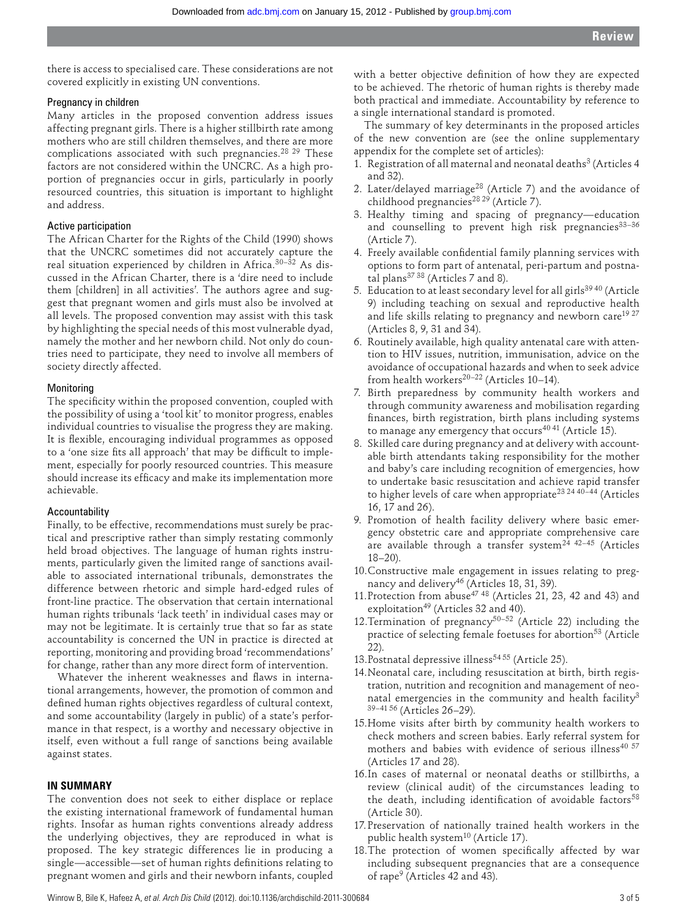there is access to specialised care. These considerations are not covered explicitly in existing UN conventions.

#### Pregnancy in children

Many articles in the proposed convention address issues affecting pregnant girls. There is a higher stillbirth rate among mothers who are still children themselves, and there are more complications associated with such pregnancies.<sup>28</sup> <sup>29</sup> These factors are not considered within the UNCRC. As a high proportion of pregnancies occur in girls, particularly in poorly resourced countries, this situation is important to highlight and address.

# Active participation

The African Charter for the Rights of the Child (1990) shows that the UNCRC sometimes did not accurately capture the real situation experienced by children in Africa.30–32 As discussed in the African Charter, there is a 'dire need to include them [children] in all activities'. The authors agree and suggest that pregnant women and girls must also be involved at all levels. The proposed convention may assist with this task by highlighting the special needs of this most vulnerable dyad, namely the mother and her newborn child. Not only do countries need to participate, they need to involve all members of society directly affected.

#### **Monitoring**

The specificity within the proposed convention, coupled with the possibility of using a 'tool kit' to monitor progress, enables individual countries to visualise the progress they are making. It is flexible, encouraging individual programmes as opposed to a 'one size fits all approach' that may be difficult to implement, especially for poorly resourced countries. This measure should increase its efficacy and make its implementation more achievable.

# Accountability

Finally, to be effective, recommendations must surely be practical and prescriptive rather than simply restating commonly held broad objectives. The language of human rights instruments, particularly given the limited range of sanctions available to associated international tribunals, demonstrates the difference between rhetoric and simple hard-edged rules of front-line practice. The observation that certain international human rights tribunals 'lack teeth' in individual cases may or may not be legitimate. It is certainly true that so far as state accountability is concerned the UN in practice is directed at reporting, monitoring and providing broad 'recommendations' for change, rather than any more direct form of intervention.

Whatever the inherent weaknesses and flaws in international arrangements, however, the promotion of common and defined human rights objectives regardless of cultural context, and some accountability (largely in public) of a state's performance in that respect, is a worthy and necessary objective in itself, even without a full range of sanctions being available against states.

### **IN SUMMARY**

The convention does not seek to either displace or replace the existing international framework of fundamental human rights. Insofar as human rights conventions already address the underlying objectives, they are reproduced in what is proposed. The key strategic differences lie in producing a single—accessible—set of human rights definitions relating to pregnant women and girls and their newborn infants, coupled

with a better objective definition of how they are expected to be achieved. The rhetoric of human rights is thereby made both practical and immediate. Accountability by reference to a single international standard is promoted.

The summary of key determinants in the proposed articles of the new convention are (see the online supplementary appendix for the complete set of articles):

- 1. Registration of all maternal and neonatal deaths<sup>3</sup> (Articles 4) and 32).
- 2. Later/delayed marriage28 (Article 7) and the avoidance of childhood pregnancies<sup>28 29</sup> (Article 7).
- 3. Healthy timing and spacing of pregnancy—education and counselling to prevent high risk pregnancies<sup>33-36</sup> (Article 7).
- 4. Freely available confidential family planning services with options to form part of antenatal, peri-partum and postnatal plans<sup>37 38</sup> (Articles 7 and 8).
- 5. Education to at least secondary level for all girls $^{39\,40}$  (Article 9) including teaching on sexual and reproductive health and life skills relating to pregnancy and newborn care<sup>19 27</sup> (Articles 8, 9, 31 and 34).
- 6. Routinely available, high quality antenatal care with attention to HIV issues, nutrition, immunisation, advice on the avoidance of occupational hazards and when to seek advice from health workers<sup>20-22</sup> (Articles 10-14).
- 7. Birth preparedness by community health workers and through community awareness and mobilisation regarding finances, birth registration, birth plans including systems to manage any emergency that occurs<sup>40 41</sup> (Article 15).
- 8. Skilled care during pregnancy and at delivery with accountable birth attendants taking responsibility for the mother and baby's care including recognition of emergencies, how to undertake basic resuscitation and achieve rapid transfer to higher levels of care when appropriate23 24 40–44 (Articles 16, 17 and 26).
- 9. Promotion of health facility delivery where basic emergency obstetric care and appropriate comprehensive care are available through a transfer system<sup>24 42-45</sup> (Articles 18–20).
- 10. Constructive male engagement in issues relating to pregnancy and delivery<sup>46</sup> (Articles 18, 31, 39).
- 11. Protection from abuse47 48 (Articles 21, 23, 42 and 43) and exploitation<sup>49</sup> (Articles 32 and 40).
- 12. Termination of pregnancy<sup>50–52</sup> (Article 22) including the practice of selecting female foetuses for abortion<sup>53</sup> (Article 22).
- 13. Postnatal depressive illness<sup>54 55</sup> (Article 25).
- 14. Neonatal care, including resuscitation at birth, birth registration, nutrition and recognition and management of neonatal emergencies in the community and health facility<sup>3</sup> 39–41 56 (Articles 26–29).
- 15. Home visits after birth by community health workers to check mothers and screen babies. Early referral system for mothers and babies with evidence of serious illness<sup>40 57</sup> (Articles 17 and 28).
- 16. In cases of maternal or neonatal deaths or stillbirths, a review (clinical audit) of the circumstances leading to the death, including identification of avoidable factors $58$ (Article 30).
- 17. Preservation of nationally trained health workers in the public health system<sup>10</sup> (Article 17).
- 18. The protection of women specifically affected by war including subsequent pregnancies that are a consequence of rape<sup>9</sup> (Articles 42 and 43).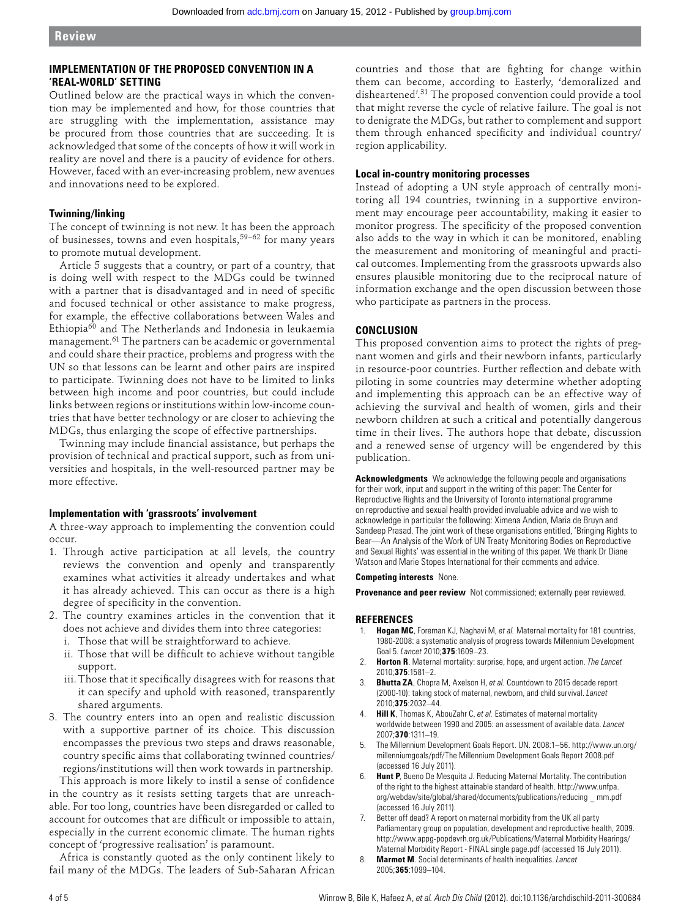# **IMPLEMENTATION OF THE PROPOSED CONVENTION IN A 'REAL-WORLD' SETTING**

Outlined below are the practical ways in which the convention may be implemented and how, for those countries that are struggling with the implementation, assistance may be procured from those countries that are succeeding. It is acknowledged that some of the concepts of how it will work in reality are novel and there is a paucity of evidence for others. However, faced with an ever-increasing problem, new avenues and innovations need to be explored.

# **Twinning/linking**

The concept of twinning is not new. It has been the approach of businesses, towns and even hospitals,  $59-62$  for many years to promote mutual development.

Article 5 suggests that a country, or part of a country, that is doing well with respect to the MDGs could be twinned with a partner that is disadvantaged and in need of specific and focused technical or other assistance to make progress, for example, the effective collaborations between Wales and Ethiopia<sup>60</sup> and The Netherlands and Indonesia in leukaemia management.61 The partners can be academic or governmental and could share their practice, problems and progress with the UN so that lessons can be learnt and other pairs are inspired to participate. Twinning does not have to be limited to links between high income and poor countries, but could include links between regions or institutions within low-income countries that have better technology or are closer to achieving the MDGs, thus enlarging the scope of effective partnerships.

Twinning may include financial assistance, but perhaps the provision of technical and practical support, such as from universities and hospitals, in the well-resourced partner may be more effective.

### **Implementation with 'grassroots' involvement**

A three-way approach to implementing the convention could occur.

- 1. Through active participation at all levels, the country reviews the convention and openly and transparently examines what activities it already undertakes and what it has already achieved. This can occur as there is a high degree of specificity in the convention.
- 2. The country examines articles in the convention that it does not achieve and divides them into three categories:
	- i. Those that will be straightforward to achieve.
	- ii. Those that will be difficult to achieve without tangible support.
	- iii. Those that it specifically disagrees with for reasons that it can specify and uphold with reasoned, transparently shared arguments.
- 3. The country enters into an open and realistic discussion with a supportive partner of its choice. This discussion encompasses the previous two steps and draws reasonable, country specific aims that collaborating twinned countries/ regions/institutions will then work towards in partnership.

This approach is more likely to instil a sense of confidence in the country as it resists setting targets that are unreachable. For too long, countries have been disregarded or called to account for outcomes that are difficult or impossible to attain, especially in the current economic climate. The human rights concept of 'progressive realisation' is paramount.

Africa is constantly quoted as the only continent likely to fail many of the MDGs. The leaders of Sub-Saharan African countries and those that are fighting for change within them can become, according to Easterly, 'demoralized and disheartened'.31 The proposed convention could provide a tool that might reverse the cycle of relative failure. The goal is not to denigrate the MDGs, but rather to complement and support them through enhanced specificity and individual country/ region applicability.

# **Local in-country monitoring processes**

Instead of adopting a UN style approach of centrally monitoring all 194 countries, twinning in a supportive environment may encourage peer accountability, making it easier to monitor progress. The specificity of the proposed convention also adds to the way in which it can be monitored, enabling the measurement and monitoring of meaningful and practical outcomes. Implementing from the grassroots upwards also ensures plausible monitoring due to the reciprocal nature of information exchange and the open discussion between those who participate as partners in the process.

#### **CONCLUSION**

This proposed convention aims to protect the rights of pregnant women and girls and their newborn infants, particularly in resource-poor countries. Further reflection and debate with piloting in some countries may determine whether adopting and implementing this approach can be an effective way of achieving the survival and health of women, girls and their newborn children at such a critical and potentially dangerous time in their lives. The authors hope that debate, discussion and a renewed sense of urgency will be engendered by this publication.

**Acknowledgments** We acknowledge the following people and organisations for their work, input and support in the writing of this paper: The Center for Reproductive Rights and the University of Toronto international programme on reproductive and sexual health provided invaluable advice and we wish to acknowledge in particular the following: Ximena Andion, Maria de Bruyn and Sandeep Prasad. The joint work of these organisations entitled, 'Bringing Rights to Bear—An Analysis of the Work of UN Treaty Monitoring Bodies on Reproductive and Sexual Rights' was essential in the writing of this paper. We thank Dr Diane Watson and Marie Stopes International for their comments and advice.

#### **Competing interests** None.

**Provenance and peer review** Not commissioned; externally peer reviewed.

#### **REFERENCES**

- 1. **Hogan MC**, Foreman KJ, Naghavi M, *et al.* Maternal mortality for 181 countries, 1980-2008: a systematic analysis of progress towards Millennium Development Goal 5. *Lancet* 2010;**375**:1609–23.
- 2. **Horton R**. Maternal mortality: surprise, hope, and urgent action. *The Lancet* 2010;**375**:1581–2.
- 3. **Bhutta ZA**, Chopra M, Axelson H, *et al.* Countdown to 2015 decade report (2000-10): taking stock of maternal, newborn, and child survival. *Lancet* 2010;**375**:2032–44.
- 4. **Hill K**, Thomas K, AbouZahr C, *et al.* Estimates of maternal mortality worldwide between 1990 and 2005: an assessment of available data. *Lancet* 2007;**370**:1311–19.
- 5. The Millennium Development Goals Report. UN. 2008:1–56. http://www.un.org/ millenniumgoals/pdf/The Millennium Development Goals Report 2008.pdf (accessed 16 July 2011).
- 6. **Hunt P**, Bueno De Mesquita J. Reducing Maternal Mortality. The contribution of the right to the highest attainable standard of health. http://www.unfpa. org/webdav/site/global/shared/documents/publications/reducing \_ mm.pdf (accessed 16 July 2011).
- 7. Better off dead? A report on maternal morbidity from the UK all party Parliamentary group on population, development and reproductive health, 2009. http://www.appg-popdevrh.org.uk/Publications/Maternal Morbidity Hearings/ Maternal Morbidity Report - FINAL single page.pdf (accessed 16 July 2011).
- 8. **Marmot M**. Social determinants of health inequalities. *Lancet* 2005;**365**:1099–104.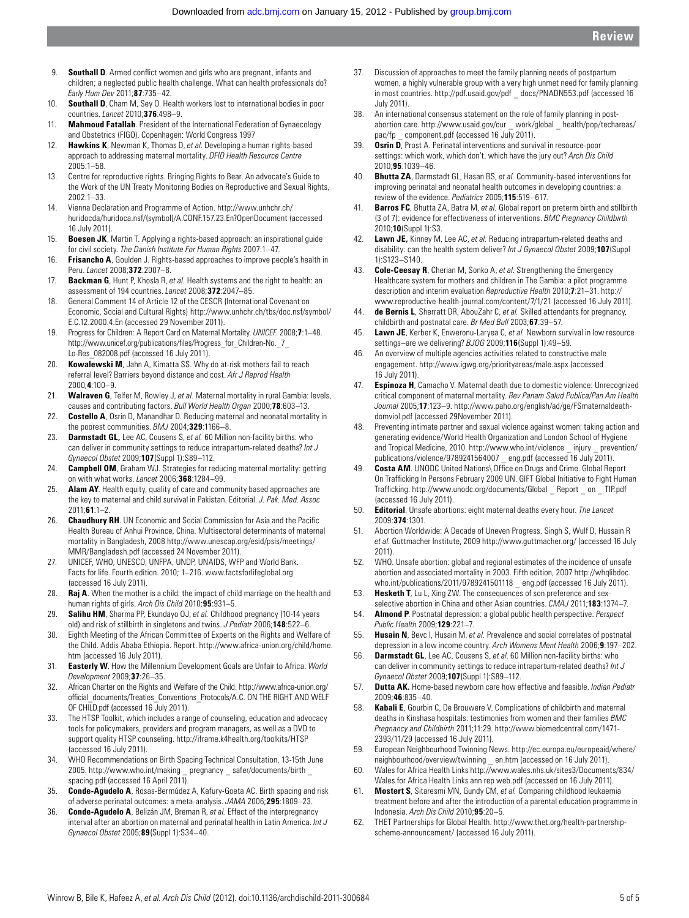- 9. **Southall D**. Armed conflict women and girls who are pregnant, infants and children; a neglected public health challenge. What can health professionals do? *Early Hum Dev* 2011;**87**:735–42.
- 10. **Southall D**, Cham M, Sey O. Health workers lost to international bodies in poor countries. *Lancet* 2010;**376**:498–9.
- 11. **Mahmoud Fatallah**. President of the International Federation of Gynaecology and Obstetrics (FIGO). Copenhagen: World Congress 1997
- 12. **Hawkins K**, Newman K, Thomas D, *et al*. Developing a human rights-based approach to addressing maternal mortality. *DFID Health Resource Centre* 2005:1–58.
- 13. Centre for reproductive rights. Bringing Rights to Bear. An advocate's Guide to the Work of the UN Treaty Monitoring Bodies on Reproductive and Sexual Rights, 2002:1–33.
- 14. Vienna Declaration and Programme of Action. http://www.unhchr.ch/ huridocda/huridoca.nsf/(symbol)/A.CONF.157.23.En?OpenDocument (accessed 16 July 2011).
- 15. **Boesen JK**, Martin T. Applying a rights-based approach: an inspirational guide for civil society. *The Danish Institute For Human Rights* 2007:1–47.
- 16. **Frisancho A**, Goulden J. Rights-based approaches to improve people's health in Peru. *Lancet* 2008;**372**:2007–8.
- 17. **Backman G**, Hunt P, Khosla R, *et al.* Health systems and the right to health: an assessment of 194 countries. *Lancet* 2008;**372**:2047–85.
- 18. General Comment 14 of Article 12 of the CESCR (International Covenant on Economic, Social and Cultural Rights) http://www.unhchr.ch/tbs/doc.nsf/symbol/ E.C.12.2000.4.En (accessed 29 November 2011).
- 19. Progress for Children: A Report Card on Maternal Mortality. *UNICEF.* 2008;**7**:1–48. http://www.unicef.org/publications/files/Progress\_for\_Children-No.\_7 Lo-Res\_082008.pdf (accessed 16 July 2011).
- 20. **Kowalewski M**, Jahn A, Kimatta SS. Why do at-risk mothers fail to reach referral level? Barriers beyond distance and cost. *Afr J Reprod Health* 2000;**4**:100–9.
- 21. **Walraven G**, Telfer M, Rowley J, *et al.* Maternal mortality in rural Gambia: levels, causes and contributing factors. *Bull World Health Organ* 2000;**78**:603–13.
- 22. **Costello A**, Osrin D, Manandhar D. Reducing maternal and neonatal mortality in the poorest communities. *BMJ* 2004;**329**:1166–8.
- 23. **Darmstadt GL,** Lee AC, Cousens S, *et al.* 60 Million non-facility births: who can deliver in community settings to reduce intrapartum-related deaths? *Int J Gynaecol Obstet* 2009;**107**(Suppl 1):S89–112.
- 24. **Campbell OM**, Graham WJ. Strategies for reducing maternal mortality: getting on with what works. *Lancet* 2006;**368**:1284–99.
- 25. **Alam AY**. Health equity, quality of care and community based approaches are the key to maternal and child survival in Pakistan. Editorial. *J. Pak. Med. Assoc* 2011;**61**:1–2.
- 26. **Chaudhury RH.** UN Economic and Social Commission for Asia and the Pacific Health Bureau of Anhui Province, China. Multisectoral determinants of maternal mortality in Bangladesh, 2008 http://www.unescap.org/esid/psis/meetings/ MMR/Bangladesh.pdf (accessed 24 November 2011).
- 27. UNICEF, WHO, UNESCO, UNFPA, UNDP, UNAIDS, WFP and World Bank. Facts for life. Fourth edition. 2010; 1–216. www.factsforlifeglobal.org (accessed 16 July 2011).
- 28. **Raj A**. When the mother is a child: the impact of child marriage on the health and human rights of girls. *Arch Dis Child* 2010;**95**:931–5.
- 29. **Salihu HM**, Sharma PP, Ekundayo OJ, *et al.* Childhood pregnancy (10-14 years old) and risk of stillbirth in singletons and twins. *J Pediatr* 2006;**148**:522–6.
- 30. Eighth Meeting of the African Committee of Experts on the Rights and Welfare of the Child. Addis Ababa Ethiopia. Report. http://www.africa-union.org/child/home. htm (accessed 16 July 2011).
- 31. **Easterly W**. How the Millennium Development Goals are Unfair to Africa. *World Development* 2009;**37**:26–35.
- 32. African Charter on the Rights and Welfare of the Child. http://www.africa-union.org/ official\_documents/Treaties\_Conventions\_Protocols/A.C. ON THE RIGHT AND WELF OF CHILD.pdf (accessed 16 July 2011).
- 33. The HTSP Toolkit, which includes a range of counseling, education and advocacy tools for policymakers, providers and program managers, as well as a DVD to support quality HTSP counseling. http://iframe.k4health.org/toolkits/HTSP (accessed 16 July 2011).
- 34. WHO Recommendations on Birth Spacing Technical Consultation, 13-15th June 2005. http://www.who.int/making \_ pregnancy \_ safer/documents/birth \_ spacing.pdf (accessed 16 April 2011).
- 35. **Conde-Agudelo A**, Rosas-Bermúdez A, Kafury-Goeta AC. Birth spacing and risk of adverse perinatal outcomes: a meta-analysis. *JAMA* 2006;**295**:1809–23.
- 36. **Conde-Agudelo A**, Belizán JM, Breman R, *et al.* Effect of the interpregnancy interval after an abortion on maternal and perinatal health in Latin America. *Int J Gynaecol Obstet* 2005;**89**(Suppl 1):S34–40.
- 37. Discussion of approaches to meet the family planning needs of postpartum women, a highly vulnerable group with a very high unmet need for family planning in most countries. http://pdf.usaid.gov/pdf docs/PNADN553.pdf (accessed 16 July 2011).
- 38. An international consensus statement on the role of family planning in postabortion care. http://www.usaid.gov/our \_ work/global \_ health/pop/techareas/ pac/fp \_ component.pdf (accessed 16 July 2011).
- 39. **Osrin D**, Prost A. Perinatal interventions and survival in resource-poor settings: which work, which don't, which have the jury out? *Arch Dis Child* 2010;**95**:1039–46.
- 40. **Bhutta ZA**, Darmstadt GL, Hasan BS, *et al.* Community-based interventions for improving perinatal and neonatal health outcomes in developing countries: a review of the evidence. *Pediatrics* 2005;**115**:519–617.
- 41. **Barros FC**, Bhutta ZA, Batra M, *et al.* Global report on preterm birth and stillbirth (3 of 7): evidence for effectiveness of interventions. *BMC Pregnancy Childbirth* 2010;**10**(Suppl 1):S3.
- 42. **Lawn JE,** Kinney M, Lee AC, *et al.* Reducing intrapartum-related deaths and disability: can the health system deliver? *Int J Gynaecol Obstet* 2009;**107**(Suppl 1):S123–S140.
- 43. **Cole-Ceesay R**, Cherian M, Sonko A, *et al*. Strengthening the Emergency Healthcare system for mothers and children in The Gambia: a pilot programme description and interim evaluation *Reproductive Health* 2010;**7**:21–31. http:// www.reproductive-health-journal.com/content/7/1/21 (accessed 16 July 2011).
- 44. **de Bernis L**, Sherratt DR, AbouZahr C, *et al.* Skilled attendants for pregnancy, childbirth and postnatal care. *Br Med Bull* 2003;**67**:39–57.
- 45. **Lawn JE**, Kerber K, Enweronu-Laryea C, *et al.* Newborn survival in low resource settings–are we delivering? *BJOG* 2009;**116**(Suppl 1):49–59.
- 46. An overview of multiple agencies activities related to constructive male engagement. http://www.igwg.org/priorityareas/male.aspx (accessed 16 July 2011).
- 47. **Espinoza H**, Camacho V. Maternal death due to domestic violence: Unrecognized critical component of maternal mortality. *Rev Panam Salud Publica/Pan Am Health Journal* 2005;**17**:123–9. http://www.paho.org/english/ad/ge/FSmaternaldeathdomviol.pdf (accessed 29November 2011).
- 48. Preventing intimate partner and sexual violence against women: taking action and generating evidence/World Health Organization and London School of Hygiene and Tropical Medicine, 2010. http://www.who.int/violence \_ injury \_ prevention/ publications/violence/9789241564007 \_ eng.pdf (accessed 16 July 2011).
- 49. **Costa AM**. UNODC United Nations\ Office on Drugs and Crime. Global Report On Trafficking In Persons February 2009 UN. GIFT Global Initiative to Fight Human Trafficking. http://www.unodc.org/documents/Global Report on TIP.pdf (accessed 16 July 2011).
- 50. **Editorial**. Unsafe abortions: eight maternal deaths every hour. *The Lancet* 2009:**374**:1301.
- 51. Abortion Worldwide: A Decade of Uneven Progress. Singh S, Wulf D, Hussain R *et al*. Guttmacher Institute, 2009 http://www.guttmacher.org/ (accessed 16 July 2011).
- 52. WHO. Unsafe abortion: global and regional estimates of the incidence of unsafe abortion and associated mortality in 2003. Fifth edition, 2007 http://whqlibdoc. who.int/publications/2011/9789241501118 \_ eng.pdf (accessed 16 July 2011).
- 53. **Hesketh T**, Lu L, Xing ZW. The consequences of son preference and sexselective abortion in China and other Asian countries. *CMAJ* 2011;**183**:1374–7.
- 54. **Almond P**. Postnatal depression: a global public health perspective. *Perspect Public Health* 2009;**129**:221–7.
- 55. **Husain N**, Bevc I, Husain M, *et al.* Prevalence and social correlates of postnatal depression in a low income country. *Arch Womens Ment Health* 2006;**9**:197–202.
- 56. **Darmstadt GL**, Lee AC, Cousens S, *et al*. 60 Million non-facility births: who can deliver in community settings to reduce intrapartum-related deaths? *Int J Gynaecol Obstet* 2009;**107**(Suppl 1):S89–112.
- 57. **Dutta AK.** Home-based newborn care how effective and feasible. *Indian Pediatr* 2009;**46**:835–40.
- 58. **Kabali E**, Gourbin C, De Brouwere V. Complications of childbirth and maternal deaths in Kinshasa hospitals: testimonies from women and their families *BMC Pregnancy and Childbirth* 2011;11:29. http://www.biomedcentral.com/1471- 2393/11/29 (accessed 16 July 2011).
- 59. European Neighbourhood Twinning News. http://ec.europa.eu/europeaid/where/ neighbourhood/overview/twinning \_ en.htm (accessed on 16 July 2011).
- 60. Wales for Africa Health Links http://www.wales.nhs.uk/sites3/Documents/834/ Wales for Africa Health Links ann rep web.pdf (accessed on 16 July 2011).
- 61. **Mostert S**, Sitaresmi MN, Gundy CM, *et al.* Comparing childhood leukaemia treatment before and after the introduction of a parental education programme in Indonesia. *Arch Dis Child* 2010;**95**:20–5.
- 62. THET Partnerships for Global Health. http://www.thet.org/health-partnershipscheme-announcement/ (accessed 16 July 2011).